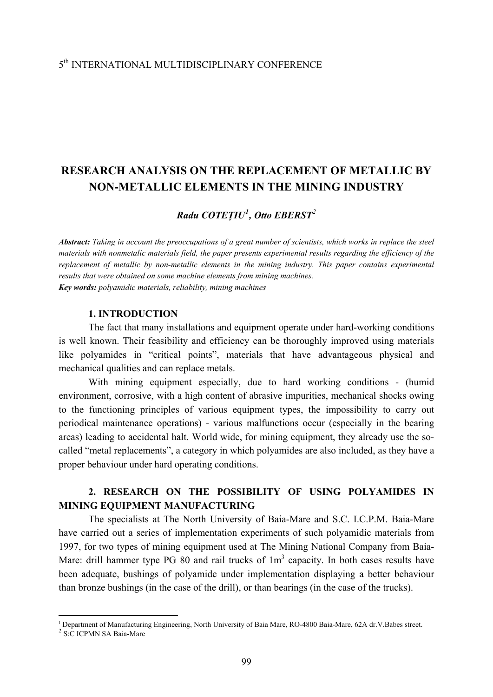### 5th INTERNATIONAL MULTIDISCIPLINARY CONFERENCE

# **RESEARCH ANALYSIS ON THE REPLACEMENT OF METALLIC BY NON-METALLIC ELEMENTS IN THE MINING INDUSTRY**

### *Radu COTEŢIU[1](#page-0-0) , Otto EBERST[2](#page-0-1)*

*Abstract: Taking in account the preoccupations of a great number of scientists, which works in replace the steel materials with nonmetalic materials field, the paper presents experimental results regarding the efficiency of the replacement of metallic by non-metallic elements in the mining industry. This paper contains experimental results that were obtained on some machine elements from mining machines. Key words: polyamidic materials, reliability, mining machines* 

#### **1. INTRODUCTION**

The fact that many installations and equipment operate under hard-working conditions is well known. Their feasibility and efficiency can be thoroughly improved using materials like polyamides in "critical points", materials that have advantageous physical and mechanical qualities and can replace metals.

With mining equipment especially, due to hard working conditions - (humid environment, corrosive, with a high content of abrasive impurities, mechanical shocks owing to the functioning principles of various equipment types, the impossibility to carry out periodical maintenance operations) - various malfunctions occur (especially in the bearing areas) leading to accidental halt. World wide, for mining equipment, they already use the socalled "metal replacements", a category in which polyamides are also included, as they have a proper behaviour under hard operating conditions.

# **2. RESEARCH ON THE POSSIBILITY OF USING POLYAMIDES IN MINING EQUIPMENT MANUFACTURING**

The specialists at The North University of Baia-Mare and S.C. I.C.P.M. Baia-Mare have carried out a series of implementation experiments of such polyamidic materials from 1997, for two types of mining equipment used at The Mining National Company from Baia-Mare: drill hammer type PG 80 and rail trucks of  $1m<sup>3</sup>$  capacity. In both cases results have been adequate, bushings of polyamide under implementation displaying a better behaviour than bronze bushings (in the case of the drill), or than bearings (in the case of the trucks).

1

<span id="page-0-1"></span><span id="page-0-0"></span><sup>&</sup>lt;sup>1</sup> Department of Manufacturing Engineering, North University of Baia Mare, RO-4800 Baia-Mare, 62A dr.V.Babes street. <sup>2</sup> S:C ICPMN SA Baia-Mare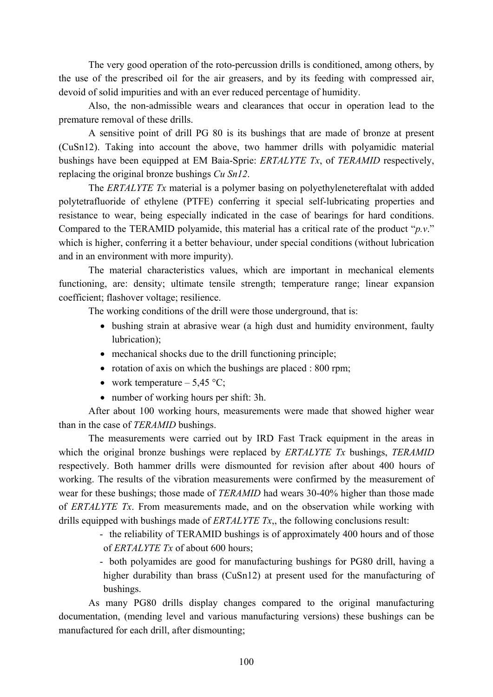The very good operation of the roto-percussion drills is conditioned, among others, by the use of the prescribed oil for the air greasers, and by its feeding with compressed air, devoid of solid impurities and with an ever reduced percentage of humidity.

Also, the non-admissible wears and clearances that occur in operation lead to the premature removal of these drills.

A sensitive point of drill PG 80 is its bushings that are made of bronze at present (CuSn12). Taking into account the above, two hammer drills with polyamidic material bushings have been equipped at EM Baia-Sprie: *ERTALYTE Tx*, of *TERAMID* respectively, replacing the original bronze bushings *Cu Sn12*.

The *ERTALYTE Tx* material is a polymer basing on polyethylenetereftalat with added polytetrafluoride of ethylene (PTFE) conferring it special self-lubricating properties and resistance to wear, being especially indicated in the case of bearings for hard conditions. Compared to the TERAMID polyamide, this material has a critical rate of the product "*p.v*." which is higher, conferring it a better behaviour, under special conditions (without lubrication and in an environment with more impurity).

The material characteristics values, which are important in mechanical elements functioning, are: density; ultimate tensile strength; temperature range; linear expansion coefficient; flashover voltage; resilience.

The working conditions of the drill were those underground, that is:

- bushing strain at abrasive wear (a high dust and humidity environment, faulty lubrication);
- mechanical shocks due to the drill functioning principle;
- rotation of axis on which the bushings are placed : 800 rpm;
- work temperature  $-5,45$  °C;
- number of working hours per shift: 3h.

After about 100 working hours, measurements were made that showed higher wear than in the case of *TERAMID* bushings.

The measurements were carried out by IRD Fast Track equipment in the areas in which the original bronze bushings were replaced by *ERTALYTE Tx* bushings, *TERAMID* respectively. Both hammer drills were dismounted for revision after about 400 hours of working. The results of the vibration measurements were confirmed by the measurement of wear for these bushings; those made of *TERAMID* had wears 30-40% higher than those made of *ERTALYTE Tx*. From measurements made, and on the observation while working with drills equipped with bushings made of *ERTALYTE Tx*,, the following conclusions result:

> - the reliability of TERAMID bushings is of approximately 400 hours and of those of *ERTALYTE Tx* of about 600 hours;

> - both polyamides are good for manufacturing bushings for PG80 drill, having a higher durability than brass (CuSn12) at present used for the manufacturing of bushings.

As many PG80 drills display changes compared to the original manufacturing documentation, (mending level and various manufacturing versions) these bushings can be manufactured for each drill, after dismounting;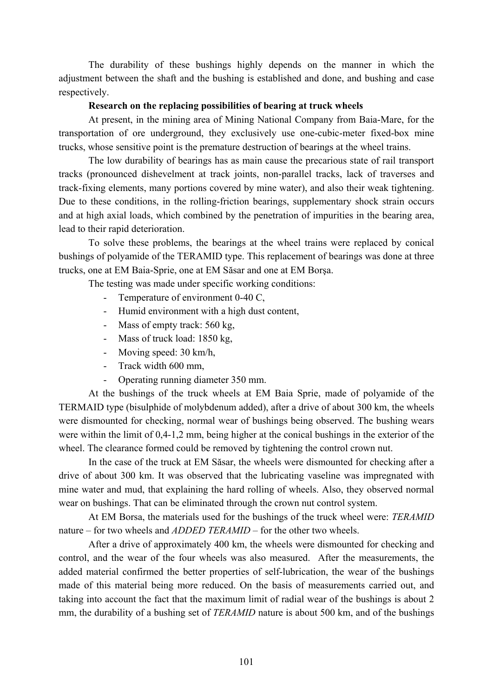The durability of these bushings highly depends on the manner in which the adjustment between the shaft and the bushing is established and done, and bushing and case respectively.

#### **Research on the replacing possibilities of bearing at truck wheels**

At present, in the mining area of Mining National Company from Baia-Mare, for the transportation of ore underground, they exclusively use one-cubic-meter fixed-box mine trucks, whose sensitive point is the premature destruction of bearings at the wheel trains.

The low durability of bearings has as main cause the precarious state of rail transport tracks (pronounced dishevelment at track joints, non-parallel tracks, lack of traverses and track-fixing elements, many portions covered by mine water), and also their weak tightening. Due to these conditions, in the rolling-friction bearings, supplementary shock strain occurs and at high axial loads, which combined by the penetration of impurities in the bearing area, lead to their rapid deterioration.

To solve these problems, the bearings at the wheel trains were replaced by conical bushings of polyamide of the TERAMID type. This replacement of bearings was done at three trucks, one at EM Baia-Sprie, one at EM Săsar and one at EM Borşa.

The testing was made under specific working conditions:

- Temperature of environment 0-40 C,
- Humid environment with a high dust content,
- Mass of empty track: 560 kg,
- Mass of truck load: 1850 kg,
- Moving speed: 30 km/h,
- Track width 600 mm,
- Operating running diameter 350 mm.

At the bushings of the truck wheels at EM Baia Sprie, made of polyamide of the TERMAID type (bisulphide of molybdenum added), after a drive of about 300 km, the wheels were dismounted for checking, normal wear of bushings being observed. The bushing wears were within the limit of 0,4-1,2 mm, being higher at the conical bushings in the exterior of the wheel. The clearance formed could be removed by tightening the control crown nut.

In the case of the truck at EM Săsar, the wheels were dismounted for checking after a drive of about 300 km. It was observed that the lubricating vaseline was impregnated with mine water and mud, that explaining the hard rolling of wheels. Also, they observed normal wear on bushings. That can be eliminated through the crown nut control system.

At EM Borsa, the materials used for the bushings of the truck wheel were: *TERAMID* nature – for two wheels and *ADDED TERAMID* – for the other two wheels.

After a drive of approximately 400 km, the wheels were dismounted for checking and control, and the wear of the four wheels was also measured. After the measurements, the added material confirmed the better properties of self-lubrication, the wear of the bushings made of this material being more reduced. On the basis of measurements carried out, and taking into account the fact that the maximum limit of radial wear of the bushings is about 2 mm, the durability of a bushing set of *TERAMID* nature is about 500 km, and of the bushings